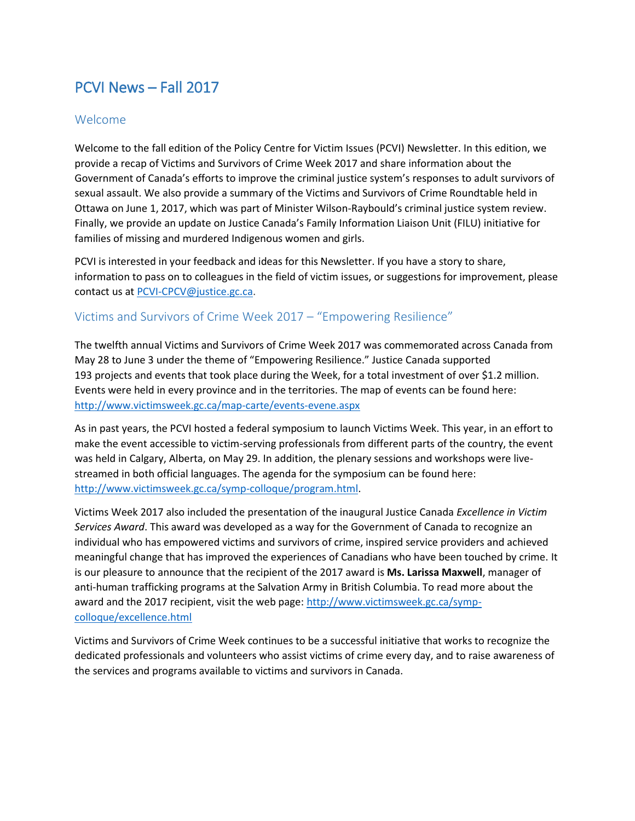# PCVI News – Fall 2017

#### Welcome

Welcome to the fall edition of the Policy Centre for Victim Issues (PCVI) Newsletter. In this edition, we provide a recap of Victims and Survivors of Crime Week 2017 and share information about the Government of Canada's efforts to improve the criminal justice system's responses to adult survivors of sexual assault. We also provide a summary of the Victims and Survivors of Crime Roundtable held in Ottawa on June 1, 2017, which was part of Minister Wilson-Raybould's criminal justice system review. Finally, we provide an update on Justice Canada's Family Information Liaison Unit (FILU) initiative for families of missing and murdered Indigenous women and girls.

PCVI is interested in your feedback and ideas for this Newsletter. If you have a story to share, information to pass on to colleagues in the field of victim issues, or suggestions for improvement, please contact us at [PCVI-CPCV@justice.gc.ca.](mailto:PCVI-CPCV@justice.gc.ca)

### Victims and Survivors of Crime Week 2017 – "Empowering Resilience"

The twelfth annual Victims and Survivors of Crime Week 2017 was commemorated across Canada from May 28 to June 3 under the theme of "Empowering Resilience." Justice Canada supported 193 projects and events that took place during the Week, for a total investment of over \$1.2 million. Events were held in every province and in the territories. The map of events can be found here: <http://www.victimsweek.gc.ca/map-carte/events-evene.aspx>

As in past years, the PCVI hosted a federal symposium to launch Victims Week. This year, in an effort to make the event accessible to victim-serving professionals from different parts of the country, the event was held in Calgary, Alberta, on May 29. In addition, the plenary sessions and workshops were livestreamed in both official languages. The agenda for the symposium can be found here: [http://www.victimsweek.gc.ca/symp-colloque/program.html.](http://www.victimsweek.gc.ca/symp-colloque/program.html)

Victims Week 2017 also included the presentation of the inaugural Justice Canada *Excellence in Victim Services Award*. This award was developed as a way for the Government of Canada to recognize an individual who has empowered victims and survivors of crime, inspired service providers and achieved meaningful change that has improved the experiences of Canadians who have been touched by crime. It is our pleasure to announce that the recipient of the 2017 award is **Ms. Larissa Maxwell**, manager of anti-human trafficking programs at the Salvation Army in British Columbia. To read more about the award and the 2017 recipient, visit the web page[: http://www.victimsweek.gc.ca/symp](http://www.victimsweek.gc.ca/symp-colloque/excellence.html)[colloque/excellence.html](http://www.victimsweek.gc.ca/symp-colloque/excellence.html)

Victims and Survivors of Crime Week continues to be a successful initiative that works to recognize the dedicated professionals and volunteers who assist victims of crime every day, and to raise awareness of the services and programs available to victims and survivors in Canada.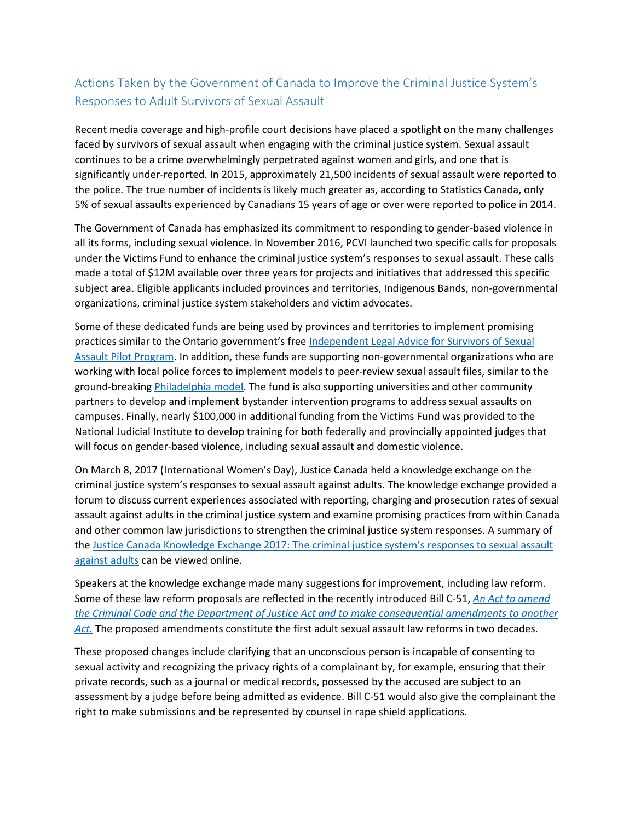## Actions Taken by the Government of Canada to Improve the Criminal Justice System's Responses to Adult Survivors of Sexual Assault

Recent media coverage and high-profile court decisions have placed a spotlight on the many challenges faced by survivors of sexual assault when engaging with the criminal justice system. Sexual assault continues to be a crime overwhelmingly perpetrated against women and girls, and one that is significantly under-reported. In 2015, approximately 21,500 incidents of sexual assault were reported to the police. The true number of incidents is likely much greater as, according to Statistics Canada, only 5% of sexual assaults experienced by Canadians 15 years of age or over were reported to police in 2014.

The Government of Canada has emphasized its commitment to responding to gender-based violence in all its forms, including sexual violence. In November 2016, PCVI launched two specific calls for proposals under the Victims Fund to enhance the criminal justice system's responses to sexual assault. These calls made a total of \$12M available over three years for projects and initiatives that addressed this specific subject area. Eligible applicants included provinces and territories, Indigenous Bands, non-governmental organizations, criminal justice system stakeholders and victim advocates.

Some of these dedicated funds are being used by provinces and territories to implement promising practices similar to the Ontario government's free [Independent Legal Advice for Survivors of Sexual](https://www.attorneygeneral.jus.gov.on.ca/english/ovss/ila.php)  [Assault Pilot Program.](https://www.attorneygeneral.jus.gov.on.ca/english/ovss/ila.php) In addition, these funds are supporting non-governmental organizations who are working with local police forces to implement models to peer-review sexual assault files, similar to the ground-breaking [Philadelphia model.](http://www.womenslawproject.org/sexual-violence/) The fund is also supporting universities and other community partners to develop and implement bystander intervention programs to address sexual assaults on campuses. Finally, nearly \$100,000 in additional funding from the Victims Fund was provided to the National Judicial Institute to develop training for both federally and provincially appointed judges that will focus on gender-based violence, including sexual assault and domestic violence.

On March 8, 2017 (International Women's Day), Justice Canada held a knowledge exchange on the criminal justice system's responses to sexual assault against adults. The knowledge exchange provided a forum to discuss current experiences associated with reporting, charging and prosecution rates of sexual assault against adults in the criminal justice system and examine promising practices from within Canada and other common law jurisdictions to strengthen the criminal justice system responses. A summary of the [Justice Canada Knowledge Exchange 2017: The criminal justice system's responses to sexual assault](http://www.justice.gc.ca/eng/cj-jp/victims-victimes/cal/summ-resu.html)  [against adults](http://www.justice.gc.ca/eng/cj-jp/victims-victimes/cal/summ-resu.html) can be viewed online.

Speakers at the knowledge exchange made many suggestions for improvement, including law reform. Some of these law reform proposals are reflected in the recently introduced Bill C-51, *[An Act to amend](http://www.parl.ca/DocumentViewer/en/42-1/bill/C-51/first-reading)  [the Criminal Code and the Department of Justice Act and to make consequential amendments to another](http://www.parl.ca/DocumentViewer/en/42-1/bill/C-51/first-reading)  [Act.](http://www.parl.ca/DocumentViewer/en/42-1/bill/C-51/first-reading)* The proposed amendments constitute the first adult sexual assault law reforms in two decades.

These proposed changes include clarifying that an unconscious person is incapable of consenting to sexual activity and recognizing the privacy rights of a complainant by, for example, ensuring that their private records, such as a journal or medical records, possessed by the accused are subject to an assessment by a judge before being admitted as evidence. Bill C-51 would also give the complainant the right to make submissions and be represented by counsel in rape shield applications.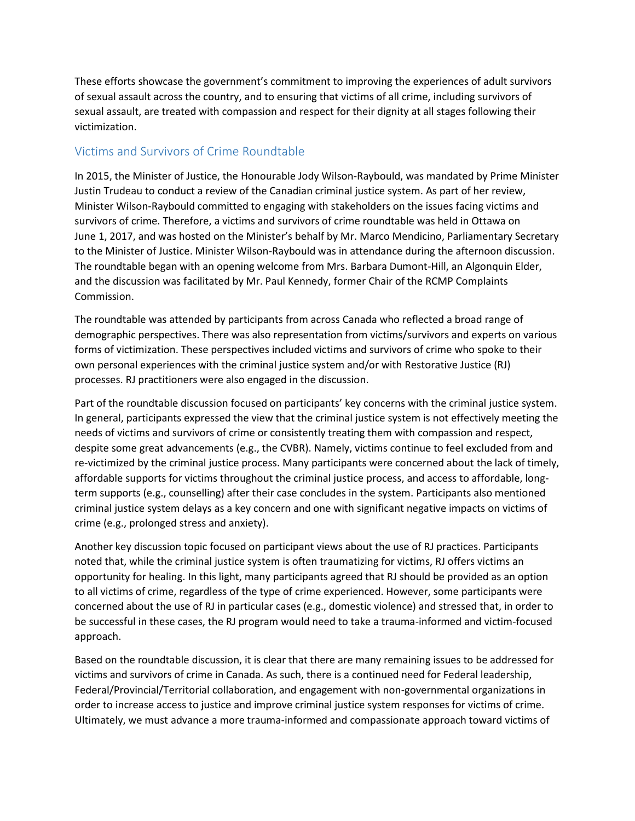These efforts showcase the government's commitment to improving the experiences of adult survivors of sexual assault across the country, and to ensuring that victims of all crime, including survivors of sexual assault, are treated with compassion and respect for their dignity at all stages following their victimization.

### Victims and Survivors of Crime Roundtable

In 2015, the Minister of Justice, the Honourable Jody Wilson-Raybould, was mandated by Prime Minister Justin Trudeau to conduct a review of the Canadian criminal justice system. As part of her review, Minister Wilson-Raybould committed to engaging with stakeholders on the issues facing victims and survivors of crime. Therefore, a victims and survivors of crime roundtable was held in Ottawa on June 1, 2017, and was hosted on the Minister's behalf by Mr. Marco Mendicino, Parliamentary Secretary to the Minister of Justice. Minister Wilson-Raybould was in attendance during the afternoon discussion. The roundtable began with an opening welcome from Mrs. Barbara Dumont-Hill, an Algonquin Elder, and the discussion was facilitated by Mr. Paul Kennedy, former Chair of the RCMP Complaints Commission.

The roundtable was attended by participants from across Canada who reflected a broad range of demographic perspectives. There was also representation from victims/survivors and experts on various forms of victimization. These perspectives included victims and survivors of crime who spoke to their own personal experiences with the criminal justice system and/or with Restorative Justice (RJ) processes. RJ practitioners were also engaged in the discussion.

Part of the roundtable discussion focused on participants' key concerns with the criminal justice system. In general, participants expressed the view that the criminal justice system is not effectively meeting the needs of victims and survivors of crime or consistently treating them with compassion and respect, despite some great advancements (e.g., the CVBR). Namely, victims continue to feel excluded from and re-victimized by the criminal justice process. Many participants were concerned about the lack of timely, affordable supports for victims throughout the criminal justice process, and access to affordable, longterm supports (e.g., counselling) after their case concludes in the system. Participants also mentioned criminal justice system delays as a key concern and one with significant negative impacts on victims of crime (e.g., prolonged stress and anxiety).

Another key discussion topic focused on participant views about the use of RJ practices. Participants noted that, while the criminal justice system is often traumatizing for victims, RJ offers victims an opportunity for healing. In this light, many participants agreed that RJ should be provided as an option to all victims of crime, regardless of the type of crime experienced. However, some participants were concerned about the use of RJ in particular cases (e.g., domestic violence) and stressed that, in order to be successful in these cases, the RJ program would need to take a trauma-informed and victim-focused approach.

Based on the roundtable discussion, it is clear that there are many remaining issues to be addressed for victims and survivors of crime in Canada. As such, there is a continued need for Federal leadership, Federal/Provincial/Territorial collaboration, and engagement with non-governmental organizations in order to increase access to justice and improve criminal justice system responses for victims of crime. Ultimately, we must advance a more trauma-informed and compassionate approach toward victims of